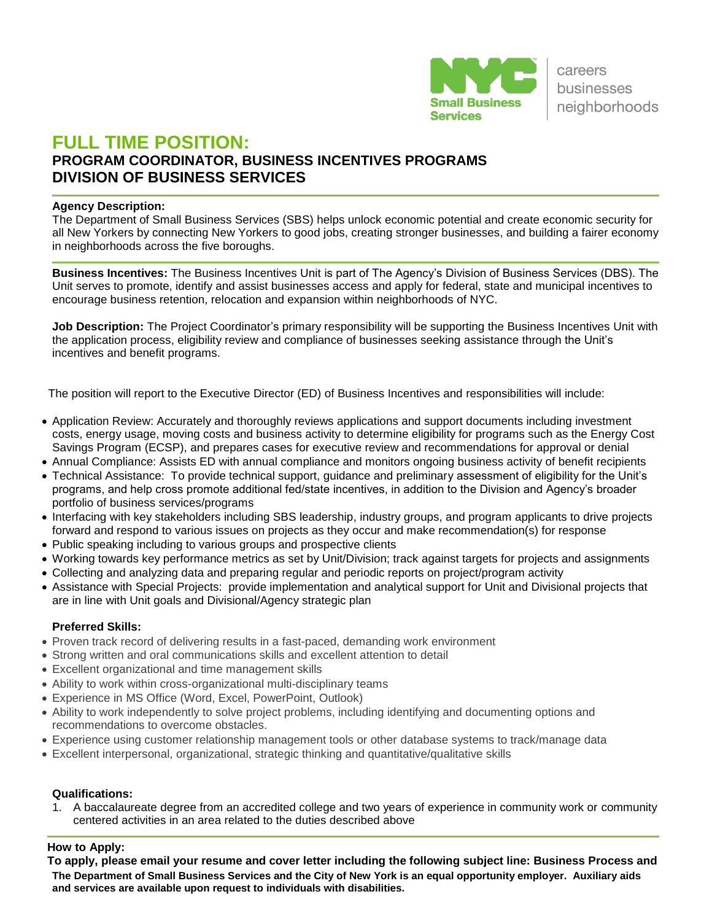

# **FULL TIME POSITION: PROGRAM COORDINATOR, BUSINESS INCENTIVES PROGRAMS DIVISION OF BUSINESS SERVICES**

#### **Agency Description:**

The Department of Small Business Services (SBS) helps unlock economic potential and create economic security for all New Yorkers by connecting New Yorkers to good jobs, creating stronger businesses, and building a fairer economy in neighborhoods across the five boroughs.

**Business Incentives:** The Business Incentives Unit is part of The Agency's Division of Business Services (DBS). The Unit serves to promote, identify and assist businesses access and apply for federal, state and municipal incentives to encourage business retention, relocation and expansion within neighborhoods of NYC.

**Job Description:** The Project Coordinator's primary responsibility will be supporting the Business Incentives Unit with the application process, eligibility review and compliance of businesses seeking assistance through the Unit's incentives and benefit programs.

The position will report to the Executive Director (ED) of Business Incentives and responsibilities will include:

- Application Review: Accurately and thoroughly reviews applications and support documents including investment costs, energy usage, moving costs and business activity to determine eligibility for programs such as the Energy Cost Savings Program (ECSP), and prepares cases for executive review and recommendations for approval or denial
- Annual Compliance: Assists ED with annual compliance and monitors ongoing business activity of benefit recipients
- Technical Assistance: To provide technical support, quidance and preliminary assessment of eligibility for the Unit's programs, and help cross promote additional fed/state incentives, in addition to the Division and Agency's broader portfolio of business services/programs
- Interfacing with key stakeholders including SBS leadership, industry groups, and program applicants to drive projects forward and respond to various issues on projects as they occur and make recommendation(s) for response
- Public speaking including to various groups and prospective clients
- Working towards key performance metrics as set by Unit/Division; track against targets for projects and assignments
- Collecting and analyzing data and preparing regular and periodic reports on project/program activity
- Assistance with Special Projects: provide implementation and analytical support for Unit and Divisional projects that are in line with Unit goals and Divisional/Agency strategic plan

#### **Preferred Skills:**

- Proven track record of delivering results in a fast-paced, demanding work environment
- Strong written and oral communications skills and excellent attention to detail
- Excellent organizational and time management skills
- Ability to work within cross-organizational multi-disciplinary teams
- Experience in MS Office (Word, Excel, PowerPoint, Outlook)
- Ability to work independently to solve project problems, including identifying and documenting options and recommendations to overcome obstacles.
- Experience using customer relationship management tools or other database systems to track/manage data
- Excellent interpersonal, organizational, strategic thinking and quantitative/qualitative skills

## **Qualifications:**

1. A baccalaureate degree from an accredited college and two years of experience in community work or community centered activities in an area related to the duties described above

## **How to Apply:**

**The Department of Small Business Services and the City of New York is an equal opportunity employer. Auxiliary aids and services are available upon request to individuals with disabilities. To apply, please email your resume and cover letter including the following subject line: Business Process and**